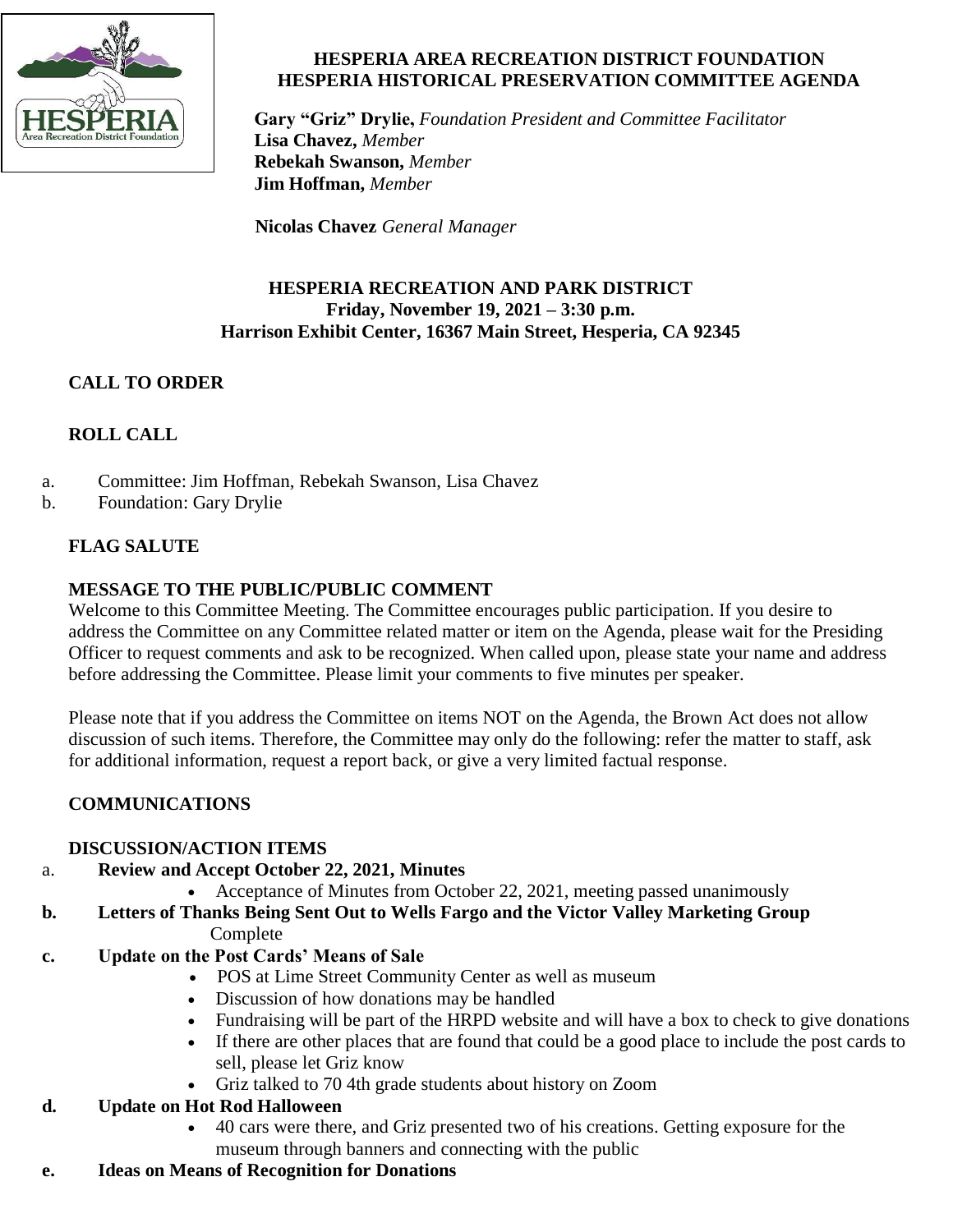

### **HESPERIA AREA RECREATION DISTRICT FOUNDATION HESPERIA HISTORICAL PRESERVATION COMMITTEE AGENDA**

**Gary "Griz" Drylie,** *Foundation President and Committee Facilitator* **Lisa Chavez,** *Member*  **Rebekah Swanson,** *Member* **Jim Hoffman,** *Member*

**Nicolas Chavez** *General Manager*

### **HESPERIA RECREATION AND PARK DISTRICT Friday, November 19, 2021 – 3:30 p.m. Harrison Exhibit Center, 16367 Main Street, Hesperia, CA 92345**

# **CALL TO ORDER**

# **ROLL CALL**

- a. Committee: Jim Hoffman, Rebekah Swanson, Lisa Chavez
- b. Foundation: Gary Drylie

## **FLAG SALUTE**

## **MESSAGE TO THE PUBLIC/PUBLIC COMMENT**

Welcome to this Committee Meeting. The Committee encourages public participation. If you desire to address the Committee on any Committee related matter or item on the Agenda, please wait for the Presiding Officer to request comments and ask to be recognized. When called upon, please state your name and address before addressing the Committee. Please limit your comments to five minutes per speaker.

Please note that if you address the Committee on items NOT on the Agenda, the Brown Act does not allow discussion of such items. Therefore, the Committee may only do the following: refer the matter to staff, ask for additional information, request a report back, or give a very limited factual response.

# **COMMUNICATIONS**

### **DISCUSSION/ACTION ITEMS**

- a. **Review and Accept October 22, 2021, Minutes**
	- Acceptance of Minutes from October 22, 2021, meeting passed unanimously

#### **b. Letters of Thanks Being Sent Out to Wells Fargo and the Victor Valley Marketing Group** Complete

### **c. Update on the Post Cards' Means of Sale**

- POS at Lime Street Community Center as well as museum
- Discussion of how donations may be handled
- Fundraising will be part of the HRPD website and will have a box to check to give donations
- If there are other places that are found that could be a good place to include the post cards to sell, please let Griz know
- Griz talked to 70 4th grade students about history on Zoom

### **d. Update on Hot Rod Halloween**

- 40 cars were there, and Griz presented two of his creations. Getting exposure for the museum through banners and connecting with the public
- **e. Ideas on Means of Recognition for Donations**